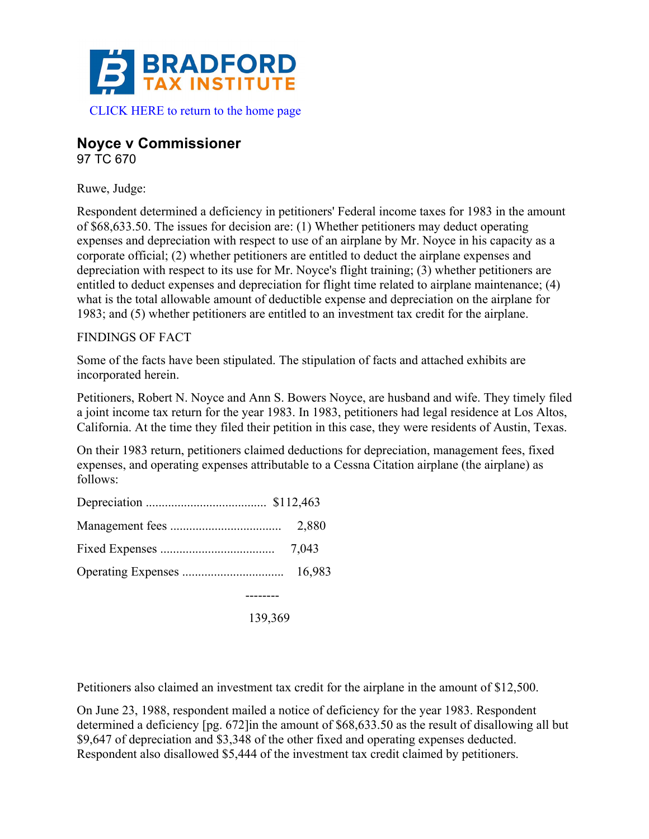

# **Noyce v Commissioner**

97 TC 670

Ruwe, Judge:

Respondent determined a deficiency in petitioners' Federal income taxes for 1983 in the amount of \$68,633.50. The issues for decision are: (1) Whether petitioners may deduct operating expenses and depreciation with respect to use of an airplane by Mr. Noyce in his capacity as a corporate official; (2) whether petitioners are entitled to deduct the airplane expenses and depreciation with respect to its use for Mr. Noyce's flight training; (3) whether petitioners are entitled to deduct expenses and depreciation for flight time related to airplane maintenance; (4) what is the total allowable amount of deductible expense and depreciation on the airplane for 1983; and (5) whether petitioners are entitled to an investment tax credit for the airplane.

#### FINDINGS OF FACT

Some of the facts have been stipulated. The stipulation of facts and attached exhibits are incorporated herein.

Petitioners, Robert N. Noyce and Ann S. Bowers Noyce, are husband and wife. They timely filed a joint income tax return for the year 1983. In 1983, petitioners had legal residence at Los Altos, California. At the time they filed their petition in this case, they were residents of Austin, Texas.

On their 1983 return, petitioners claimed deductions for depreciation, management fees, fixed expenses, and operating expenses attributable to a Cessna Citation airplane (the airplane) as follows:

| 16,983 |
|--------|
| 7,043  |
| 2,880  |
|        |

139,369

Petitioners also claimed an investment tax credit for the airplane in the amount of \$12,500.

On June 23, 1988, respondent mailed a notice of deficiency for the year 1983. Respondent determined a deficiency [pg. 672]in the amount of \$68,633.50 as the result of disallowing all but \$9,647 of depreciation and \$3,348 of the other fixed and operating expenses deducted. Respondent also disallowed \$5,444 of the investment tax credit claimed by petitioners.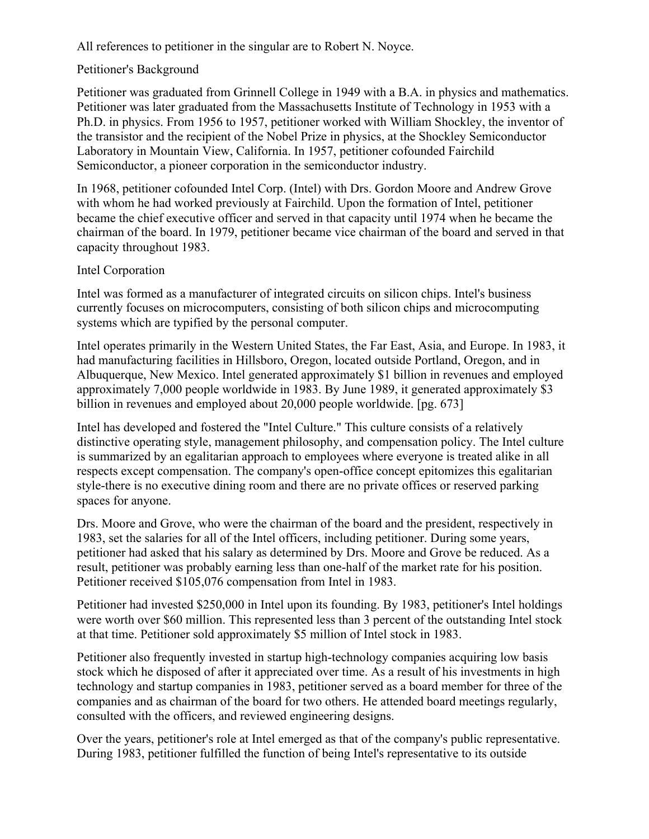All references to petitioner in the singular are to Robert N. Noyce.

# Petitioner's Background

Petitioner was graduated from Grinnell College in 1949 with a B.A. in physics and mathematics. Petitioner was later graduated from the Massachusetts Institute of Technology in 1953 with a Ph.D. in physics. From 1956 to 1957, petitioner worked with William Shockley, the inventor of the transistor and the recipient of the Nobel Prize in physics, at the Shockley Semiconductor Laboratory in Mountain View, California. In 1957, petitioner cofounded Fairchild Semiconductor, a pioneer corporation in the semiconductor industry.

In 1968, petitioner cofounded Intel Corp. (Intel) with Drs. Gordon Moore and Andrew Grove with whom he had worked previously at Fairchild. Upon the formation of Intel, petitioner became the chief executive officer and served in that capacity until 1974 when he became the chairman of the board. In 1979, petitioner became vice chairman of the board and served in that capacity throughout 1983.

# Intel Corporation

Intel was formed as a manufacturer of integrated circuits on silicon chips. Intel's business currently focuses on microcomputers, consisting of both silicon chips and microcomputing systems which are typified by the personal computer.

Intel operates primarily in the Western United States, the Far East, Asia, and Europe. In 1983, it had manufacturing facilities in Hillsboro, Oregon, located outside Portland, Oregon, and in Albuquerque, New Mexico. Intel generated approximately \$1 billion in revenues and employed approximately 7,000 people worldwide in 1983. By June 1989, it generated approximately \$3 billion in revenues and employed about 20,000 people worldwide. [pg. 673]

Intel has developed and fostered the "Intel Culture." This culture consists of a relatively distinctive operating style, management philosophy, and compensation policy. The Intel culture is summarized by an egalitarian approach to employees where everyone is treated alike in all respects except compensation. The company's open-office concept epitomizes this egalitarian style-there is no executive dining room and there are no private offices or reserved parking spaces for anyone.

Drs. Moore and Grove, who were the chairman of the board and the president, respectively in 1983, set the salaries for all of the Intel officers, including petitioner. During some years, petitioner had asked that his salary as determined by Drs. Moore and Grove be reduced. As a result, petitioner was probably earning less than one-half of the market rate for his position. Petitioner received \$105,076 compensation from Intel in 1983.

Petitioner had invested \$250,000 in Intel upon its founding. By 1983, petitioner's Intel holdings were worth over \$60 million. This represented less than 3 percent of the outstanding Intel stock at that time. Petitioner sold approximately \$5 million of Intel stock in 1983.

Petitioner also frequently invested in startup high-technology companies acquiring low basis stock which he disposed of after it appreciated over time. As a result of his investments in high technology and startup companies in 1983, petitioner served as a board member for three of the companies and as chairman of the board for two others. He attended board meetings regularly, consulted with the officers, and reviewed engineering designs.

Over the years, petitioner's role at Intel emerged as that of the company's public representative. During 1983, petitioner fulfilled the function of being Intel's representative to its outside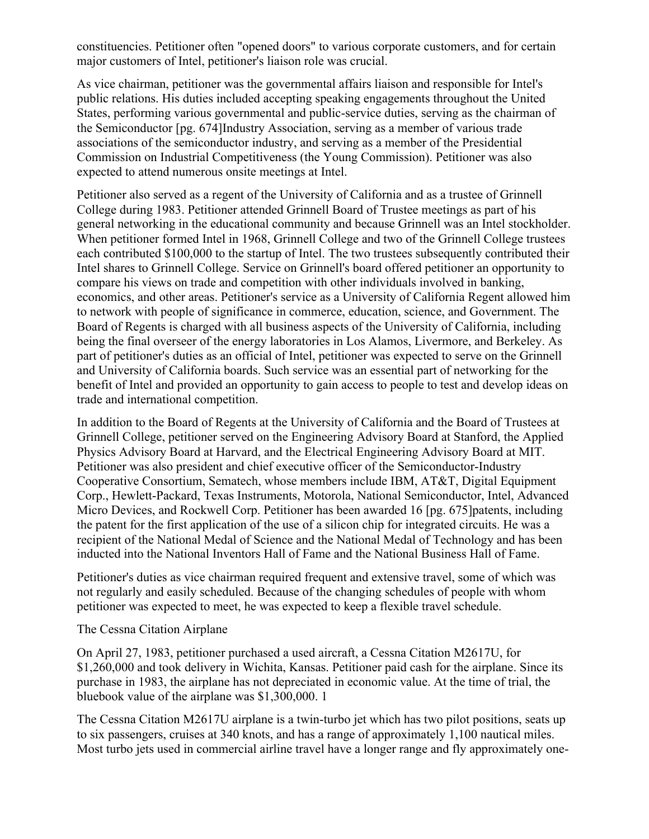constituencies. Petitioner often "opened doors" to various corporate customers, and for certain major customers of Intel, petitioner's liaison role was crucial.

As vice chairman, petitioner was the governmental affairs liaison and responsible for Intel's public relations. His duties included accepting speaking engagements throughout the United States, performing various governmental and public-service duties, serving as the chairman of the Semiconductor [pg. 674]Industry Association, serving as a member of various trade associations of the semiconductor industry, and serving as a member of the Presidential Commission on Industrial Competitiveness (the Young Commission). Petitioner was also expected to attend numerous onsite meetings at Intel.

Petitioner also served as a regent of the University of California and as a trustee of Grinnell College during 1983. Petitioner attended Grinnell Board of Trustee meetings as part of his general networking in the educational community and because Grinnell was an Intel stockholder. When petitioner formed Intel in 1968, Grinnell College and two of the Grinnell College trustees each contributed \$100,000 to the startup of Intel. The two trustees subsequently contributed their Intel shares to Grinnell College. Service on Grinnell's board offered petitioner an opportunity to compare his views on trade and competition with other individuals involved in banking, economics, and other areas. Petitioner's service as a University of California Regent allowed him to network with people of significance in commerce, education, science, and Government. The Board of Regents is charged with all business aspects of the University of California, including being the final overseer of the energy laboratories in Los Alamos, Livermore, and Berkeley. As part of petitioner's duties as an official of Intel, petitioner was expected to serve on the Grinnell and University of California boards. Such service was an essential part of networking for the benefit of Intel and provided an opportunity to gain access to people to test and develop ideas on trade and international competition.

In addition to the Board of Regents at the University of California and the Board of Trustees at Grinnell College, petitioner served on the Engineering Advisory Board at Stanford, the Applied Physics Advisory Board at Harvard, and the Electrical Engineering Advisory Board at MIT. Petitioner was also president and chief executive officer of the Semiconductor-Industry Cooperative Consortium, Sematech, whose members include IBM, AT&T, Digital Equipment Corp., Hewlett-Packard, Texas Instruments, Motorola, National Semiconductor, Intel, Advanced Micro Devices, and Rockwell Corp. Petitioner has been awarded 16 [pg. 675]patents, including the patent for the first application of the use of a silicon chip for integrated circuits. He was a recipient of the National Medal of Science and the National Medal of Technology and has been inducted into the National Inventors Hall of Fame and the National Business Hall of Fame.

Petitioner's duties as vice chairman required frequent and extensive travel, some of which was not regularly and easily scheduled. Because of the changing schedules of people with whom petitioner was expected to meet, he was expected to keep a flexible travel schedule.

#### The Cessna Citation Airplane

On April 27, 1983, petitioner purchased a used aircraft, a Cessna Citation M2617U, for \$1,260,000 and took delivery in Wichita, Kansas. Petitioner paid cash for the airplane. Since its purchase in 1983, the airplane has not depreciated in economic value. At the time of trial, the bluebook value of the airplane was \$1,300,000. 1

The Cessna Citation M2617U airplane is a twin-turbo jet which has two pilot positions, seats up to six passengers, cruises at 340 knots, and has a range of approximately 1,100 nautical miles. Most turbo jets used in commercial airline travel have a longer range and fly approximately one-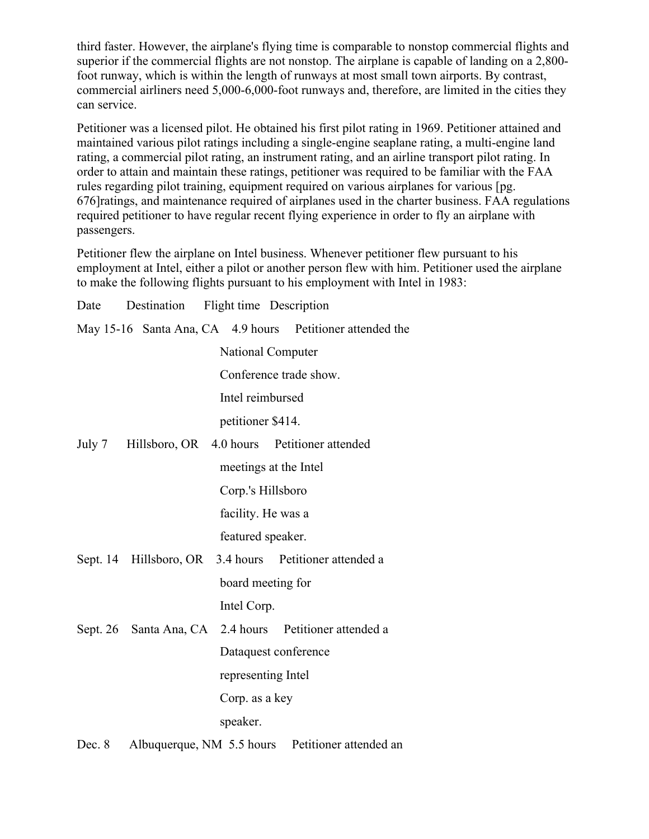third faster. However, the airplane's flying time is comparable to nonstop commercial flights and superior if the commercial flights are not nonstop. The airplane is capable of landing on a 2,800 foot runway, which is within the length of runways at most small town airports. By contrast, commercial airliners need 5,000-6,000-foot runways and, therefore, are limited in the cities they can service.

Petitioner was a licensed pilot. He obtained his first pilot rating in 1969. Petitioner attained and maintained various pilot ratings including a single-engine seaplane rating, a multi-engine land rating, a commercial pilot rating, an instrument rating, and an airline transport pilot rating. In order to attain and maintain these ratings, petitioner was required to be familiar with the FAA rules regarding pilot training, equipment required on various airplanes for various [pg. 676]ratings, and maintenance required of airplanes used in the charter business. FAA regulations required petitioner to have regular recent flying experience in order to fly an airplane with passengers.

Petitioner flew the airplane on Intel business. Whenever petitioner flew pursuant to his employment at Intel, either a pilot or another person flew with him. Petitioner used the airplane to make the following flights pursuant to his employment with Intel in 1983:

| Date | Destination Flight time Description |                    |                                                           |  |
|------|-------------------------------------|--------------------|-----------------------------------------------------------|--|
|      |                                     |                    | May 15-16 Santa Ana, CA 4.9 hours Petitioner attended the |  |
|      |                                     |                    | National Computer                                         |  |
|      |                                     |                    | Conference trade show.                                    |  |
|      |                                     | Intel reimbursed   |                                                           |  |
|      |                                     | petitioner \$414.  |                                                           |  |
|      |                                     |                    | July 7 Hillsboro, OR 4.0 hours Petitioner attended        |  |
|      |                                     |                    | meetings at the Intel                                     |  |
|      |                                     | Corp.'s Hillsboro  |                                                           |  |
|      |                                     | facility. He was a |                                                           |  |
|      | featured speaker.                   |                    |                                                           |  |
|      | Sept. 14 Hillsboro, OR              |                    | 3.4 hours Petitioner attended a                           |  |
|      |                                     |                    | board meeting for                                         |  |
|      |                                     | Intel Corp.        |                                                           |  |
|      | Sept. 26 Santa Ana, CA 2.4 hours    |                    | Petitioner attended a                                     |  |
|      |                                     |                    | Dataquest conference                                      |  |
|      |                                     | representing Intel |                                                           |  |
|      |                                     | Corp. as a key     |                                                           |  |
|      |                                     | speaker.           |                                                           |  |
|      | $\overline{11}$                     |                    |                                                           |  |

Dec. 8 Albuquerque, NM 5.5 hours Petitioner attended an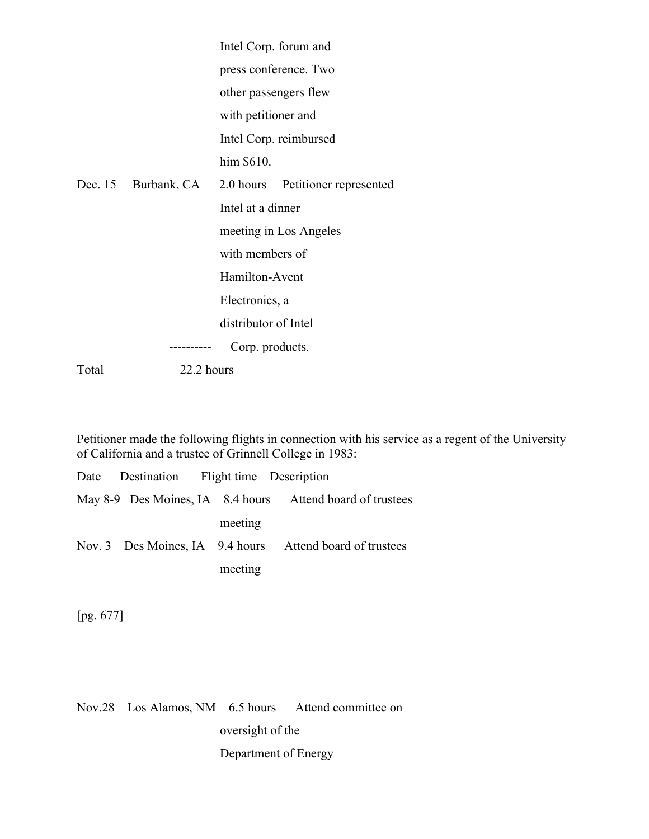|       |                     | Intel Corp. forum and               |
|-------|---------------------|-------------------------------------|
|       |                     | press conference. Two               |
|       |                     | other passengers flew               |
|       |                     | with petitioner and                 |
|       |                     | Intel Corp. reimbursed              |
|       |                     | him \$610.                          |
|       | Dec. 15 Burbank, CA | Petitioner represented<br>2.0 hours |
|       |                     | Intel at a dinner                   |
|       |                     | meeting in Los Angeles              |
|       |                     | with members of                     |
|       |                     | Hamilton-Avent                      |
|       |                     | Electronics, a                      |
|       |                     | distributor of Intel                |
|       |                     | Corp. products.                     |
| Total | 22.2 hours          |                                     |

Petitioner made the following flights in connection with his service as a regent of the University of California and a trustee of Grinnell College in 1983:

| Date Destination Flight time Description |         |                                                           |
|------------------------------------------|---------|-----------------------------------------------------------|
|                                          |         | May 8-9 Des Moines, IA 8.4 hours Attend board of trustees |
|                                          | meeting |                                                           |
|                                          |         | Nov. 3 Des Moines, IA 9.4 hours Attend board of trustees  |
|                                          | meeting |                                                           |

[pg. 677]

Nov.28 Los Alamos, NM 6.5 hours Attend committee on oversight of the Department of Energy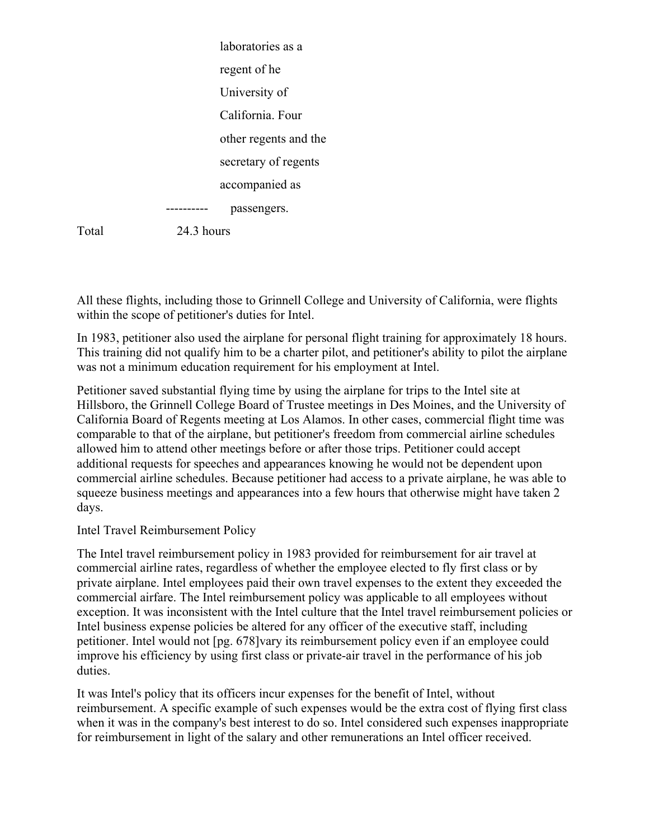laboratories as a regent of he University of California. Four other regents and the secretary of regents accompanied as passengers.



Total 24.3 hours

All these flights, including those to Grinnell College and University of California, were flights within the scope of petitioner's duties for Intel.

In 1983, petitioner also used the airplane for personal flight training for approximately 18 hours. This training did not qualify him to be a charter pilot, and petitioner's ability to pilot the airplane was not a minimum education requirement for his employment at Intel.

Petitioner saved substantial flying time by using the airplane for trips to the Intel site at Hillsboro, the Grinnell College Board of Trustee meetings in Des Moines, and the University of California Board of Regents meeting at Los Alamos. In other cases, commercial flight time was comparable to that of the airplane, but petitioner's freedom from commercial airline schedules allowed him to attend other meetings before or after those trips. Petitioner could accept additional requests for speeches and appearances knowing he would not be dependent upon commercial airline schedules. Because petitioner had access to a private airplane, he was able to squeeze business meetings and appearances into a few hours that otherwise might have taken 2 days.

Intel Travel Reimbursement Policy

The Intel travel reimbursement policy in 1983 provided for reimbursement for air travel at commercial airline rates, regardless of whether the employee elected to fly first class or by private airplane. Intel employees paid their own travel expenses to the extent they exceeded the commercial airfare. The Intel reimbursement policy was applicable to all employees without exception. It was inconsistent with the Intel culture that the Intel travel reimbursement policies or Intel business expense policies be altered for any officer of the executive staff, including petitioner. Intel would not [pg. 678]vary its reimbursement policy even if an employee could improve his efficiency by using first class or private-air travel in the performance of his job duties.

It was Intel's policy that its officers incur expenses for the benefit of Intel, without reimbursement. A specific example of such expenses would be the extra cost of flying first class when it was in the company's best interest to do so. Intel considered such expenses inappropriate for reimbursement in light of the salary and other remunerations an Intel officer received.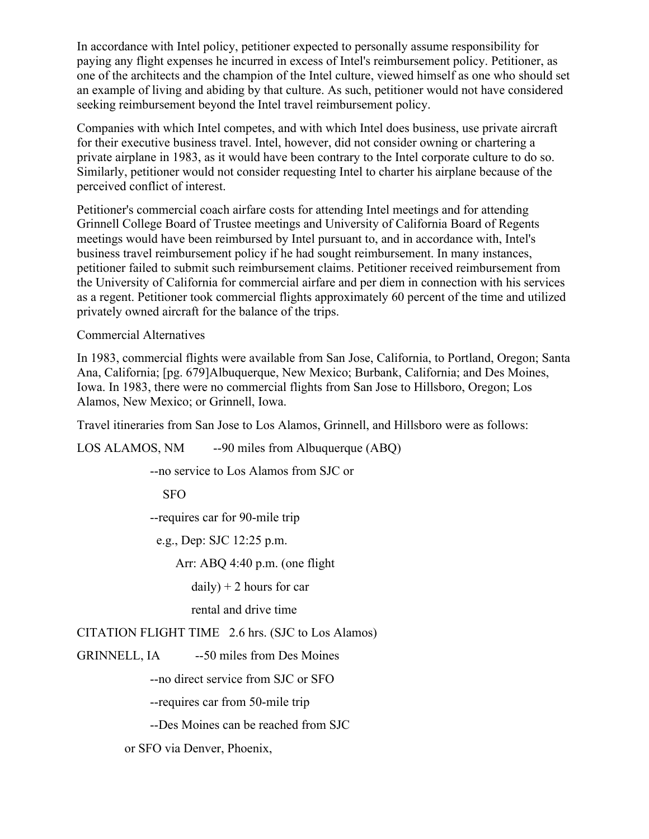In accordance with Intel policy, petitioner expected to personally assume responsibility for paying any flight expenses he incurred in excess of Intel's reimbursement policy. Petitioner, as one of the architects and the champion of the Intel culture, viewed himself as one who should set an example of living and abiding by that culture. As such, petitioner would not have considered seeking reimbursement beyond the Intel travel reimbursement policy.

Companies with which Intel competes, and with which Intel does business, use private aircraft for their executive business travel. Intel, however, did not consider owning or chartering a private airplane in 1983, as it would have been contrary to the Intel corporate culture to do so. Similarly, petitioner would not consider requesting Intel to charter his airplane because of the perceived conflict of interest.

Petitioner's commercial coach airfare costs for attending Intel meetings and for attending Grinnell College Board of Trustee meetings and University of California Board of Regents meetings would have been reimbursed by Intel pursuant to, and in accordance with, Intel's business travel reimbursement policy if he had sought reimbursement. In many instances, petitioner failed to submit such reimbursement claims. Petitioner received reimbursement from the University of California for commercial airfare and per diem in connection with his services as a regent. Petitioner took commercial flights approximately 60 percent of the time and utilized privately owned aircraft for the balance of the trips.

Commercial Alternatives

In 1983, commercial flights were available from San Jose, California, to Portland, Oregon; Santa Ana, California; [pg. 679]Albuquerque, New Mexico; Burbank, California; and Des Moines, Iowa. In 1983, there were no commercial flights from San Jose to Hillsboro, Oregon; Los Alamos, New Mexico; or Grinnell, Iowa.

Travel itineraries from San Jose to Los Alamos, Grinnell, and Hillsboro were as follows:

LOS ALAMOS, NM --90 miles from Albuquerque (ABQ)

--no service to Los Alamos from SJC or

SFO

--requires car for 90-mile trip

e.g., Dep: SJC 12:25 p.m.

Arr: ABQ 4:40 p.m. (one flight

 $daily) + 2 hours for car$ 

rental and drive time

CITATION FLIGHT TIME 2.6 hrs. (SJC to Los Alamos)

GRINNELL, IA --50 miles from Des Moines

--no direct service from SJC or SFO

--requires car from 50-mile trip

--Des Moines can be reached from SJC

or SFO via Denver, Phoenix,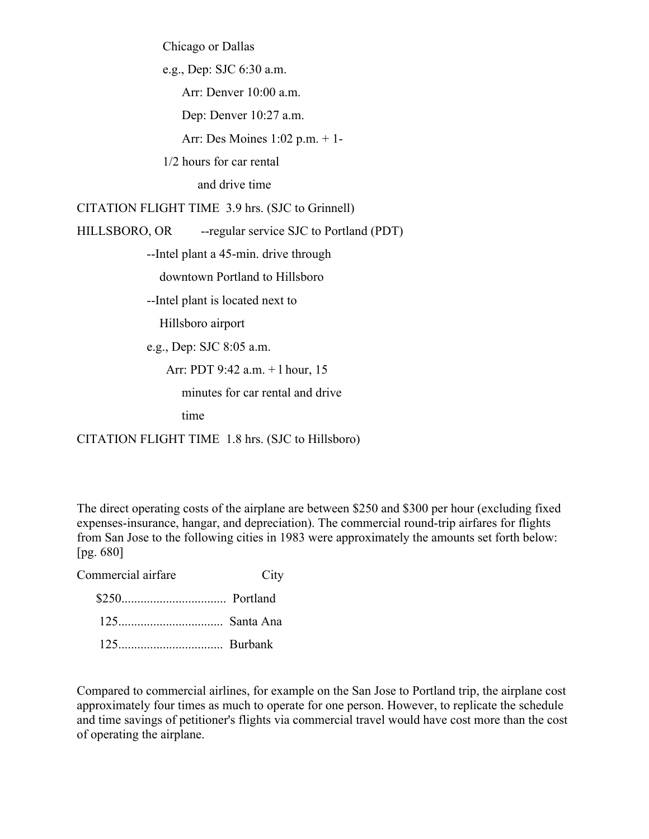Chicago or Dallas

e.g., Dep: SJC 6:30 a.m.

Arr: Denver 10:00 a.m.

Dep: Denver 10:27 a.m.

Arr: Des Moines 1:02 p.m. + 1-

1/2 hours for car rental

and drive time

CITATION FLIGHT TIME 3.9 hrs. (SJC to Grinnell)

HILLSBORO, OR --regular service SJC to Portland (PDT)

--Intel plant a 45-min. drive through

downtown Portland to Hillsboro

--Intel plant is located next to

Hillsboro airport

e.g., Dep: SJC 8:05 a.m.

Arr: PDT 9:42 a.m. + l hour, 15

minutes for car rental and drive

time

CITATION FLIGHT TIME 1.8 hrs. (SJC to Hillsboro)

The direct operating costs of the airplane are between \$250 and \$300 per hour (excluding fixed expenses-insurance, hangar, and depreciation). The commercial round-trip airfares for flights from San Jose to the following cities in 1983 were approximately the amounts set forth below: [pg. 680]

Commercial airfare City \$250................................. Portland 125................................. Santa Ana 125................................. Burbank

Compared to commercial airlines, for example on the San Jose to Portland trip, the airplane cost approximately four times as much to operate for one person. However, to replicate the schedule and time savings of petitioner's flights via commercial travel would have cost more than the cost of operating the airplane.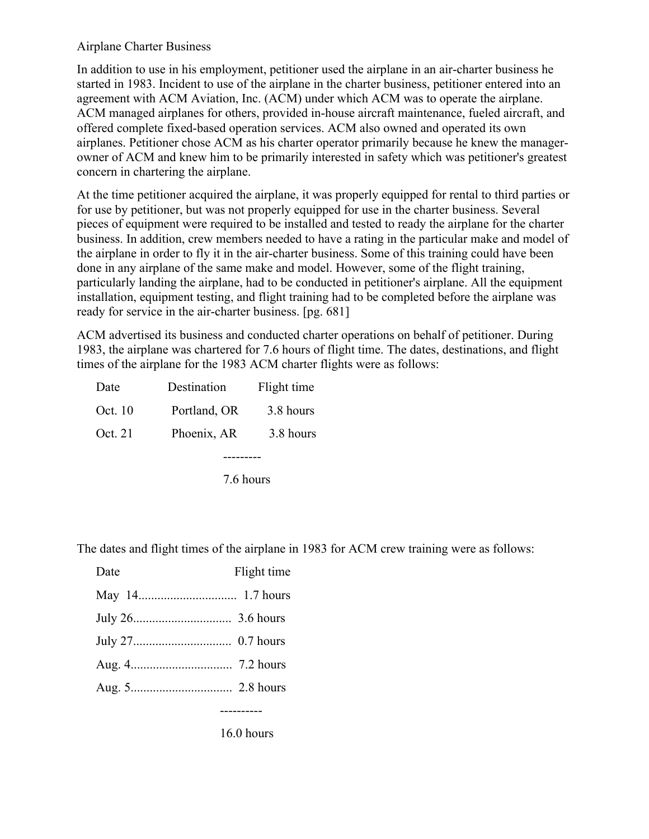#### Airplane Charter Business

In addition to use in his employment, petitioner used the airplane in an air-charter business he started in 1983. Incident to use of the airplane in the charter business, petitioner entered into an agreement with ACM Aviation, Inc. (ACM) under which ACM was to operate the airplane. ACM managed airplanes for others, provided in-house aircraft maintenance, fueled aircraft, and offered complete fixed-based operation services. ACM also owned and operated its own airplanes. Petitioner chose ACM as his charter operator primarily because he knew the managerowner of ACM and knew him to be primarily interested in safety which was petitioner's greatest concern in chartering the airplane.

At the time petitioner acquired the airplane, it was properly equipped for rental to third parties or for use by petitioner, but was not properly equipped for use in the charter business. Several pieces of equipment were required to be installed and tested to ready the airplane for the charter business. In addition, crew members needed to have a rating in the particular make and model of the airplane in order to fly it in the air-charter business. Some of this training could have been done in any airplane of the same make and model. However, some of the flight training, particularly landing the airplane, had to be conducted in petitioner's airplane. All the equipment installation, equipment testing, and flight training had to be completed before the airplane was ready for service in the air-charter business. [pg. 681]

ACM advertised its business and conducted charter operations on behalf of petitioner. During 1983, the airplane was chartered for 7.6 hours of flight time. The dates, destinations, and flight times of the airplane for the 1983 ACM charter flights were as follows:

| Date    | Destination  | Flight time |
|---------|--------------|-------------|
| Oct. 10 | Portland, OR | 3.8 hours   |
| Oct. 21 | Phoenix, AR  | 3.8 hours   |
|         |              |             |
|         |              |             |

7.6 hours

The dates and flight times of the airplane in 1983 for ACM crew training were as follows:

| Date | Flight time |
|------|-------------|
|      |             |
|      |             |
|      |             |
|      |             |
|      |             |
|      |             |

16.0 hours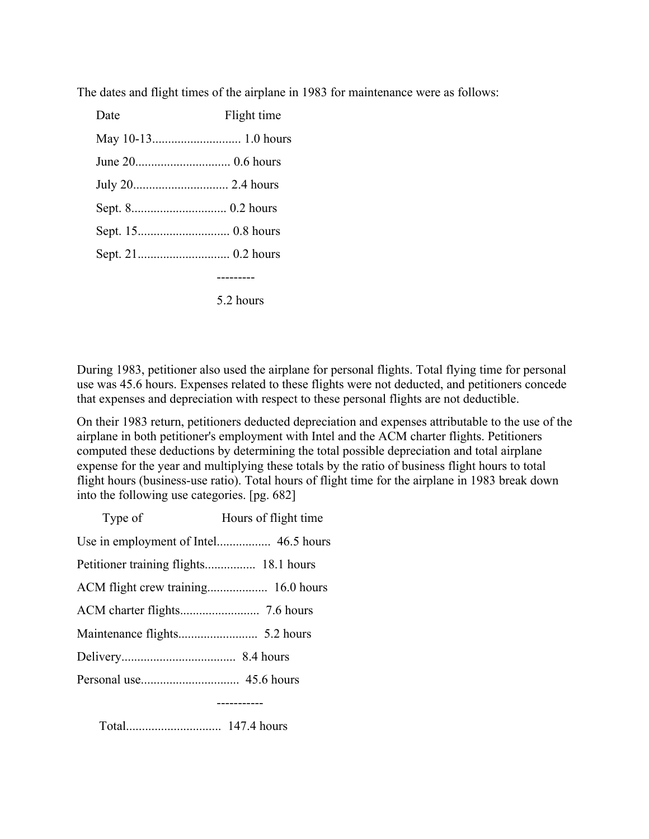The dates and flight times of the airplane in 1983 for maintenance were as follows:

| Date | Flight time |
|------|-------------|
|      |             |
|      |             |
|      |             |
|      |             |
|      |             |
|      |             |
|      |             |



During 1983, petitioner also used the airplane for personal flights. Total flying time for personal use was 45.6 hours. Expenses related to these flights were not deducted, and petitioners concede that expenses and depreciation with respect to these personal flights are not deductible.

On their 1983 return, petitioners deducted depreciation and expenses attributable to the use of the airplane in both petitioner's employment with Intel and the ACM charter flights. Petitioners computed these deductions by determining the total possible depreciation and total airplane expense for the year and multiplying these totals by the ratio of business flight hours to total flight hours (business-use ratio). Total hours of flight time for the airplane in 1983 break down into the following use categories. [pg. 682]

| Type of                             | Hours of flight time |
|-------------------------------------|----------------------|
|                                     |                      |
|                                     |                      |
| ACM flight crew training 16.0 hours |                      |
|                                     |                      |
|                                     |                      |
|                                     |                      |
|                                     |                      |
|                                     |                      |

Total.............................. 147.4 hours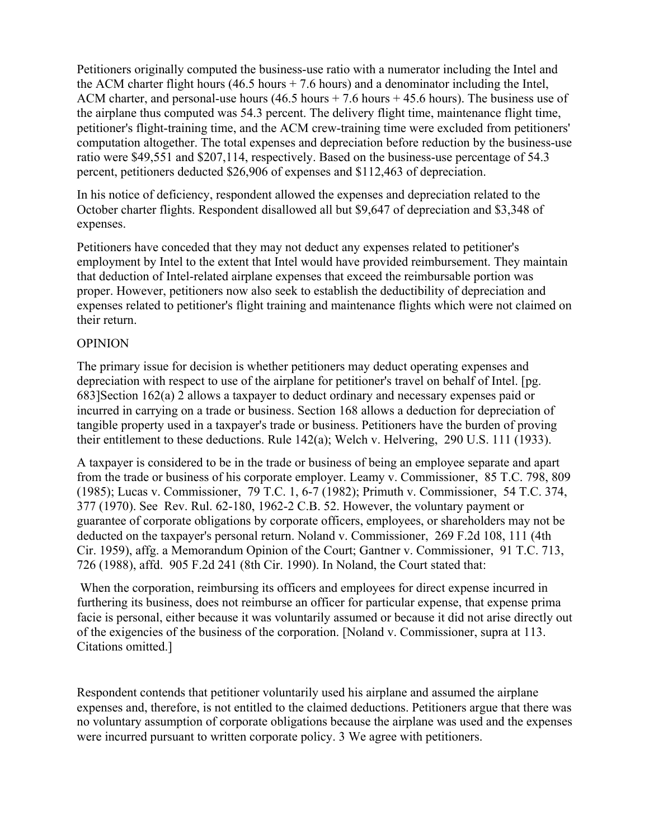Petitioners originally computed the business-use ratio with a numerator including the Intel and the ACM charter flight hours  $(46.5 \text{ hours} + 7.6 \text{ hours})$  and a denominator including the Intel, ACM charter, and personal-use hours (46.5 hours  $+ 7.6$  hours  $+ 45.6$  hours). The business use of the airplane thus computed was 54.3 percent. The delivery flight time, maintenance flight time, petitioner's flight-training time, and the ACM crew-training time were excluded from petitioners' computation altogether. The total expenses and depreciation before reduction by the business-use ratio were \$49,551 and \$207,114, respectively. Based on the business-use percentage of 54.3 percent, petitioners deducted \$26,906 of expenses and \$112,463 of depreciation.

In his notice of deficiency, respondent allowed the expenses and depreciation related to the October charter flights. Respondent disallowed all but \$9,647 of depreciation and \$3,348 of expenses.

Petitioners have conceded that they may not deduct any expenses related to petitioner's employment by Intel to the extent that Intel would have provided reimbursement. They maintain that deduction of Intel-related airplane expenses that exceed the reimbursable portion was proper. However, petitioners now also seek to establish the deductibility of depreciation and expenses related to petitioner's flight training and maintenance flights which were not claimed on their return.

# OPINION

The primary issue for decision is whether petitioners may deduct operating expenses and depreciation with respect to use of the airplane for petitioner's travel on behalf of Intel. [pg. 683]Section 162(a) 2 allows a taxpayer to deduct ordinary and necessary expenses paid or incurred in carrying on a trade or business. Section 168 allows a deduction for depreciation of tangible property used in a taxpayer's trade or business. Petitioners have the burden of proving their entitlement to these deductions. Rule 142(a); Welch v. Helvering, 290 U.S. 111 (1933).

A taxpayer is considered to be in the trade or business of being an employee separate and apart from the trade or business of his corporate employer. Leamy v. Commissioner, 85 T.C. 798, 809 (1985); Lucas v. Commissioner, 79 T.C. 1, 6-7 (1982); Primuth v. Commissioner, 54 T.C. 374, 377 (1970). See Rev. Rul. 62-180, 1962-2 C.B. 52. However, the voluntary payment or guarantee of corporate obligations by corporate officers, employees, or shareholders may not be deducted on the taxpayer's personal return. Noland v. Commissioner, 269 F.2d 108, 111 (4th Cir. 1959), affg. a Memorandum Opinion of the Court; Gantner v. Commissioner, 91 T.C. 713, 726 (1988), affd. 905 F.2d 241 (8th Cir. 1990). In Noland, the Court stated that:

When the corporation, reimbursing its officers and employees for direct expense incurred in furthering its business, does not reimburse an officer for particular expense, that expense prima facie is personal, either because it was voluntarily assumed or because it did not arise directly out of the exigencies of the business of the corporation. [Noland v. Commissioner, supra at 113. Citations omitted.]

Respondent contends that petitioner voluntarily used his airplane and assumed the airplane expenses and, therefore, is not entitled to the claimed deductions. Petitioners argue that there was no voluntary assumption of corporate obligations because the airplane was used and the expenses were incurred pursuant to written corporate policy. 3 We agree with petitioners.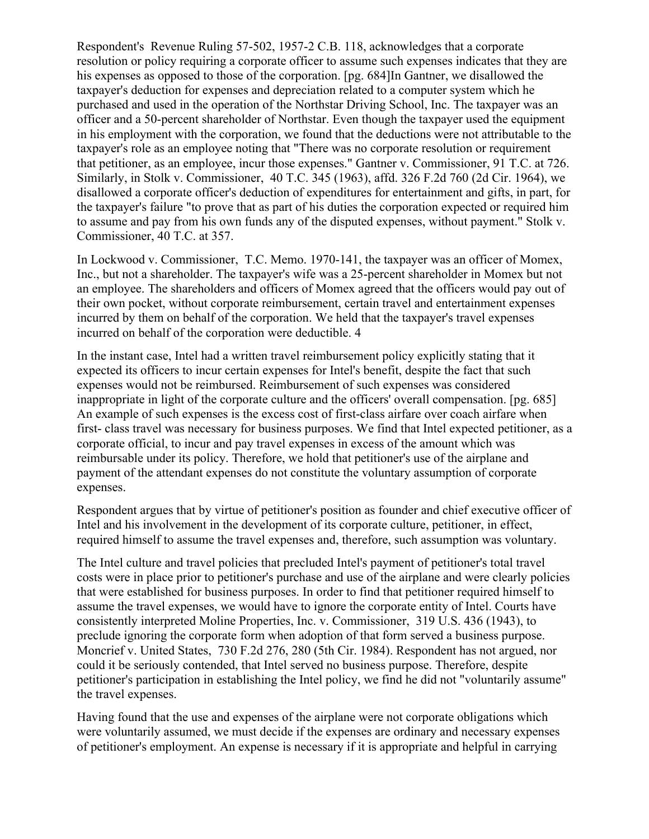Respondent's Revenue Ruling 57-502, 1957-2 C.B. 118, acknowledges that a corporate resolution or policy requiring a corporate officer to assume such expenses indicates that they are his expenses as opposed to those of the corporation. [pg. 684]In Gantner, we disallowed the taxpayer's deduction for expenses and depreciation related to a computer system which he purchased and used in the operation of the Northstar Driving School, Inc. The taxpayer was an officer and a 50-percent shareholder of Northstar. Even though the taxpayer used the equipment in his employment with the corporation, we found that the deductions were not attributable to the taxpayer's role as an employee noting that "There was no corporate resolution or requirement that petitioner, as an employee, incur those expenses." Gantner v. Commissioner, 91 T.C. at 726. Similarly, in Stolk v. Commissioner, 40 T.C. 345 (1963), affd. 326 F.2d 760 (2d Cir. 1964), we disallowed a corporate officer's deduction of expenditures for entertainment and gifts, in part, for the taxpayer's failure "to prove that as part of his duties the corporation expected or required him to assume and pay from his own funds any of the disputed expenses, without payment." Stolk v. Commissioner, 40 T.C. at 357.

In Lockwood v. Commissioner, T.C. Memo. 1970-141, the taxpayer was an officer of Momex, Inc., but not a shareholder. The taxpayer's wife was a 25-percent shareholder in Momex but not an employee. The shareholders and officers of Momex agreed that the officers would pay out of their own pocket, without corporate reimbursement, certain travel and entertainment expenses incurred by them on behalf of the corporation. We held that the taxpayer's travel expenses incurred on behalf of the corporation were deductible. 4

In the instant case, Intel had a written travel reimbursement policy explicitly stating that it expected its officers to incur certain expenses for Intel's benefit, despite the fact that such expenses would not be reimbursed. Reimbursement of such expenses was considered inappropriate in light of the corporate culture and the officers' overall compensation. [pg. 685] An example of such expenses is the excess cost of first-class airfare over coach airfare when first- class travel was necessary for business purposes. We find that Intel expected petitioner, as a corporate official, to incur and pay travel expenses in excess of the amount which was reimbursable under its policy. Therefore, we hold that petitioner's use of the airplane and payment of the attendant expenses do not constitute the voluntary assumption of corporate expenses.

Respondent argues that by virtue of petitioner's position as founder and chief executive officer of Intel and his involvement in the development of its corporate culture, petitioner, in effect, required himself to assume the travel expenses and, therefore, such assumption was voluntary.

The Intel culture and travel policies that precluded Intel's payment of petitioner's total travel costs were in place prior to petitioner's purchase and use of the airplane and were clearly policies that were established for business purposes. In order to find that petitioner required himself to assume the travel expenses, we would have to ignore the corporate entity of Intel. Courts have consistently interpreted Moline Properties, Inc. v. Commissioner, 319 U.S. 436 (1943), to preclude ignoring the corporate form when adoption of that form served a business purpose. Moncrief v. United States, 730 F.2d 276, 280 (5th Cir. 1984). Respondent has not argued, nor could it be seriously contended, that Intel served no business purpose. Therefore, despite petitioner's participation in establishing the Intel policy, we find he did not "voluntarily assume" the travel expenses.

Having found that the use and expenses of the airplane were not corporate obligations which were voluntarily assumed, we must decide if the expenses are ordinary and necessary expenses of petitioner's employment. An expense is necessary if it is appropriate and helpful in carrying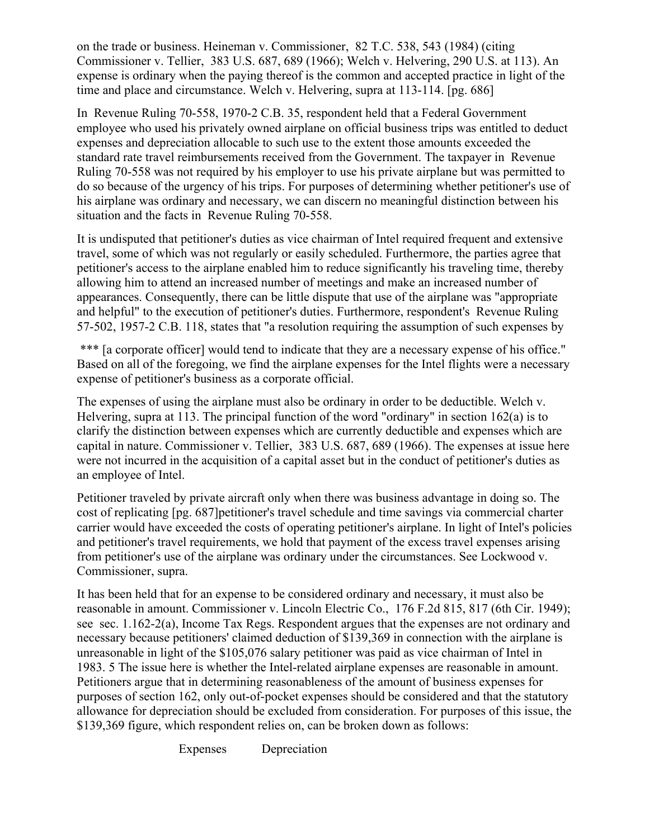on the trade or business. Heineman v. Commissioner, 82 T.C. 538, 543 (1984) (citing Commissioner v. Tellier, 383 U.S. 687, 689 (1966); Welch v. Helvering, 290 U.S. at 113). An expense is ordinary when the paying thereof is the common and accepted practice in light of the time and place and circumstance. Welch v. Helvering, supra at 113-114. [pg. 686]

In Revenue Ruling 70-558, 1970-2 C.B. 35, respondent held that a Federal Government employee who used his privately owned airplane on official business trips was entitled to deduct expenses and depreciation allocable to such use to the extent those amounts exceeded the standard rate travel reimbursements received from the Government. The taxpayer in Revenue Ruling 70-558 was not required by his employer to use his private airplane but was permitted to do so because of the urgency of his trips. For purposes of determining whether petitioner's use of his airplane was ordinary and necessary, we can discern no meaningful distinction between his situation and the facts in Revenue Ruling 70-558.

It is undisputed that petitioner's duties as vice chairman of Intel required frequent and extensive travel, some of which was not regularly or easily scheduled. Furthermore, the parties agree that petitioner's access to the airplane enabled him to reduce significantly his traveling time, thereby allowing him to attend an increased number of meetings and make an increased number of appearances. Consequently, there can be little dispute that use of the airplane was "appropriate and helpful" to the execution of petitioner's duties. Furthermore, respondent's Revenue Ruling 57-502, 1957-2 C.B. 118, states that "a resolution requiring the assumption of such expenses by

\*\*\* [a corporate officer] would tend to indicate that they are a necessary expense of his office." Based on all of the foregoing, we find the airplane expenses for the Intel flights were a necessary expense of petitioner's business as a corporate official.

The expenses of using the airplane must also be ordinary in order to be deductible. Welch v. Helvering, supra at 113. The principal function of the word "ordinary" in section 162(a) is to clarify the distinction between expenses which are currently deductible and expenses which are capital in nature. Commissioner v. Tellier, 383 U.S. 687, 689 (1966). The expenses at issue here were not incurred in the acquisition of a capital asset but in the conduct of petitioner's duties as an employee of Intel.

Petitioner traveled by private aircraft only when there was business advantage in doing so. The cost of replicating [pg. 687]petitioner's travel schedule and time savings via commercial charter carrier would have exceeded the costs of operating petitioner's airplane. In light of Intel's policies and petitioner's travel requirements, we hold that payment of the excess travel expenses arising from petitioner's use of the airplane was ordinary under the circumstances. See Lockwood v. Commissioner, supra.

It has been held that for an expense to be considered ordinary and necessary, it must also be reasonable in amount. Commissioner v. Lincoln Electric Co., 176 F.2d 815, 817 (6th Cir. 1949); see sec. 1.162-2(a), Income Tax Regs. Respondent argues that the expenses are not ordinary and necessary because petitioners' claimed deduction of \$139,369 in connection with the airplane is unreasonable in light of the \$105,076 salary petitioner was paid as vice chairman of Intel in 1983. 5 The issue here is whether the Intel-related airplane expenses are reasonable in amount. Petitioners argue that in determining reasonableness of the amount of business expenses for purposes of section 162, only out-of-pocket expenses should be considered and that the statutory allowance for depreciation should be excluded from consideration. For purposes of this issue, the \$139,369 figure, which respondent relies on, can be broken down as follows:

Expenses Depreciation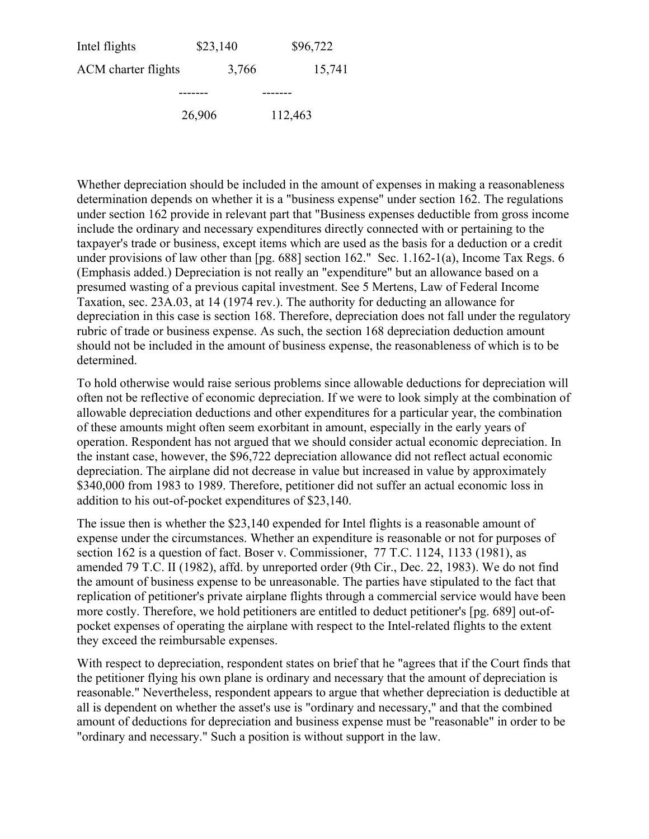| Intel flights       | \$23,140 | \$96,722 |        |
|---------------------|----------|----------|--------|
| ACM charter flights | 3,766    |          | 15,741 |
|                     |          |          |        |
|                     | 26,906   | 112,463  |        |

Whether depreciation should be included in the amount of expenses in making a reasonableness determination depends on whether it is a "business expense" under section 162. The regulations under section 162 provide in relevant part that "Business expenses deductible from gross income include the ordinary and necessary expenditures directly connected with or pertaining to the taxpayer's trade or business, except items which are used as the basis for a deduction or a credit under provisions of law other than [pg. 688] section 162." Sec. 1.162-1(a), Income Tax Regs. 6 (Emphasis added.) Depreciation is not really an "expenditure" but an allowance based on a presumed wasting of a previous capital investment. See 5 Mertens, Law of Federal Income Taxation, sec. 23A.03, at 14 (1974 rev.). The authority for deducting an allowance for depreciation in this case is section 168. Therefore, depreciation does not fall under the regulatory rubric of trade or business expense. As such, the section 168 depreciation deduction amount should not be included in the amount of business expense, the reasonableness of which is to be determined.

To hold otherwise would raise serious problems since allowable deductions for depreciation will often not be reflective of economic depreciation. If we were to look simply at the combination of allowable depreciation deductions and other expenditures for a particular year, the combination of these amounts might often seem exorbitant in amount, especially in the early years of operation. Respondent has not argued that we should consider actual economic depreciation. In the instant case, however, the \$96,722 depreciation allowance did not reflect actual economic depreciation. The airplane did not decrease in value but increased in value by approximately \$340,000 from 1983 to 1989. Therefore, petitioner did not suffer an actual economic loss in addition to his out-of-pocket expenditures of \$23,140.

The issue then is whether the \$23,140 expended for Intel flights is a reasonable amount of expense under the circumstances. Whether an expenditure is reasonable or not for purposes of section 162 is a question of fact. Boser v. Commissioner, 77 T.C. 1124, 1133 (1981), as amended 79 T.C. II (1982), affd. by unreported order (9th Cir., Dec. 22, 1983). We do not find the amount of business expense to be unreasonable. The parties have stipulated to the fact that replication of petitioner's private airplane flights through a commercial service would have been more costly. Therefore, we hold petitioners are entitled to deduct petitioner's [pg. 689] out-ofpocket expenses of operating the airplane with respect to the Intel-related flights to the extent they exceed the reimbursable expenses.

With respect to depreciation, respondent states on brief that he "agrees that if the Court finds that the petitioner flying his own plane is ordinary and necessary that the amount of depreciation is reasonable." Nevertheless, respondent appears to argue that whether depreciation is deductible at all is dependent on whether the asset's use is "ordinary and necessary," and that the combined amount of deductions for depreciation and business expense must be "reasonable" in order to be "ordinary and necessary." Such a position is without support in the law.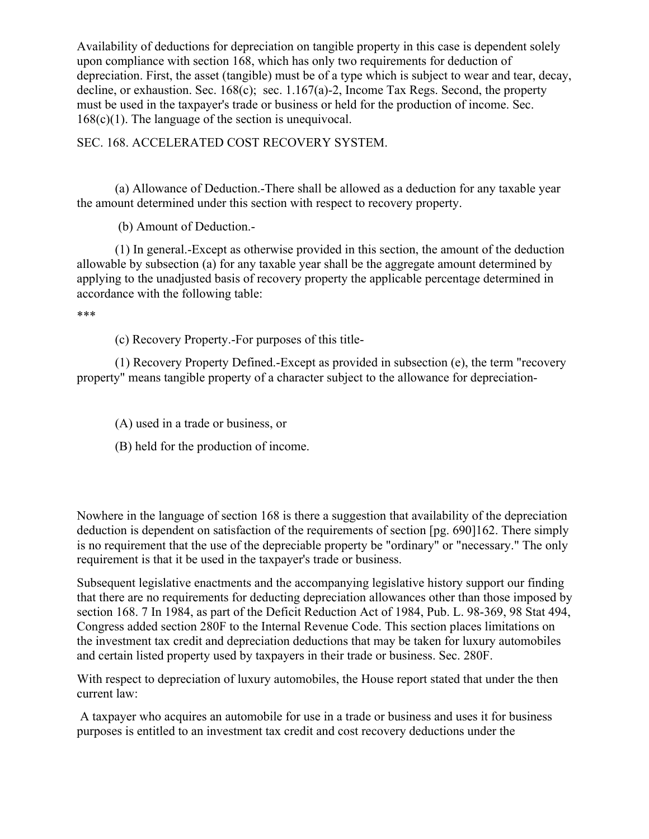Availability of deductions for depreciation on tangible property in this case is dependent solely upon compliance with section 168, which has only two requirements for deduction of depreciation. First, the asset (tangible) must be of a type which is subject to wear and tear, decay, decline, or exhaustion. Sec. 168(c); sec. 1.167(a)-2, Income Tax Regs. Second, the property must be used in the taxpayer's trade or business or held for the production of income. Sec. 168(c)(1). The language of the section is unequivocal.

SEC. 168. ACCELERATED COST RECOVERY SYSTEM.

(a) Allowance of Deduction.-There shall be allowed as a deduction for any taxable year the amount determined under this section with respect to recovery property.

(b) Amount of Deduction.-

(1) In general.-Except as otherwise provided in this section, the amount of the deduction allowable by subsection (a) for any taxable year shall be the aggregate amount determined by applying to the unadjusted basis of recovery property the applicable percentage determined in accordance with the following table:

\*\*\*

(c) Recovery Property.-For purposes of this title-

(1) Recovery Property Defined.-Except as provided in subsection (e), the term "recovery property" means tangible property of a character subject to the allowance for depreciation-

(A) used in a trade or business, or

(B) held for the production of income.

Nowhere in the language of section 168 is there a suggestion that availability of the depreciation deduction is dependent on satisfaction of the requirements of section [pg. 690]162. There simply is no requirement that the use of the depreciable property be "ordinary" or "necessary." The only requirement is that it be used in the taxpayer's trade or business.

Subsequent legislative enactments and the accompanying legislative history support our finding that there are no requirements for deducting depreciation allowances other than those imposed by section 168. 7 In 1984, as part of the Deficit Reduction Act of 1984, Pub. L. 98-369, 98 Stat 494, Congress added section 280F to the Internal Revenue Code. This section places limitations on the investment tax credit and depreciation deductions that may be taken for luxury automobiles and certain listed property used by taxpayers in their trade or business. Sec. 280F.

With respect to depreciation of luxury automobiles, the House report stated that under the then current law:

A taxpayer who acquires an automobile for use in a trade or business and uses it for business purposes is entitled to an investment tax credit and cost recovery deductions under the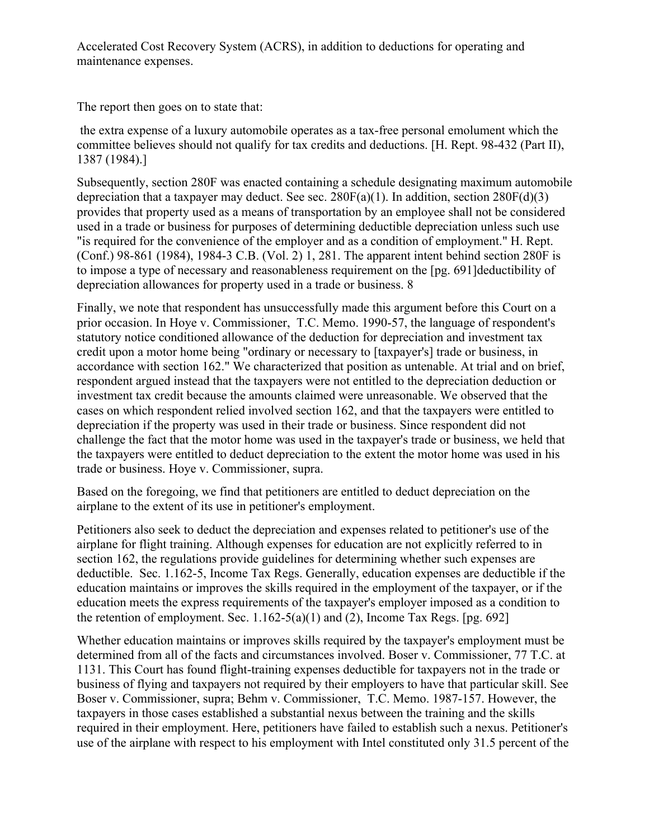Accelerated Cost Recovery System (ACRS), in addition to deductions for operating and maintenance expenses.

The report then goes on to state that:

the extra expense of a luxury automobile operates as a tax-free personal emolument which the committee believes should not qualify for tax credits and deductions. [H. Rept. 98-432 (Part II), 1387 (1984).]

Subsequently, section 280F was enacted containing a schedule designating maximum automobile depreciation that a taxpayer may deduct. See sec.  $280F(a)(1)$ . In addition, section  $280F(d)(3)$ provides that property used as a means of transportation by an employee shall not be considered used in a trade or business for purposes of determining deductible depreciation unless such use "is required for the convenience of the employer and as a condition of employment." H. Rept. (Conf.) 98-861 (1984), 1984-3 C.B. (Vol. 2) 1, 281. The apparent intent behind section 280F is to impose a type of necessary and reasonableness requirement on the [pg. 691]deductibility of depreciation allowances for property used in a trade or business. 8

Finally, we note that respondent has unsuccessfully made this argument before this Court on a prior occasion. In Hoye v. Commissioner, T.C. Memo. 1990-57, the language of respondent's statutory notice conditioned allowance of the deduction for depreciation and investment tax credit upon a motor home being "ordinary or necessary to [taxpayer's] trade or business, in accordance with section 162." We characterized that position as untenable. At trial and on brief, respondent argued instead that the taxpayers were not entitled to the depreciation deduction or investment tax credit because the amounts claimed were unreasonable. We observed that the cases on which respondent relied involved section 162, and that the taxpayers were entitled to depreciation if the property was used in their trade or business. Since respondent did not challenge the fact that the motor home was used in the taxpayer's trade or business, we held that the taxpayers were entitled to deduct depreciation to the extent the motor home was used in his trade or business. Hoye v. Commissioner, supra.

Based on the foregoing, we find that petitioners are entitled to deduct depreciation on the airplane to the extent of its use in petitioner's employment.

Petitioners also seek to deduct the depreciation and expenses related to petitioner's use of the airplane for flight training. Although expenses for education are not explicitly referred to in section 162, the regulations provide guidelines for determining whether such expenses are deductible. Sec. 1.162-5, Income Tax Regs. Generally, education expenses are deductible if the education maintains or improves the skills required in the employment of the taxpayer, or if the education meets the express requirements of the taxpayer's employer imposed as a condition to the retention of employment. Sec.  $1.162-5(a)(1)$  and  $(2)$ , Income Tax Regs. [pg. 692]

Whether education maintains or improves skills required by the taxpayer's employment must be determined from all of the facts and circumstances involved. Boser v. Commissioner, 77 T.C. at 1131. This Court has found flight-training expenses deductible for taxpayers not in the trade or business of flying and taxpayers not required by their employers to have that particular skill. See Boser v. Commissioner, supra; Behm v. Commissioner, T.C. Memo. 1987-157. However, the taxpayers in those cases established a substantial nexus between the training and the skills required in their employment. Here, petitioners have failed to establish such a nexus. Petitioner's use of the airplane with respect to his employment with Intel constituted only 31.5 percent of the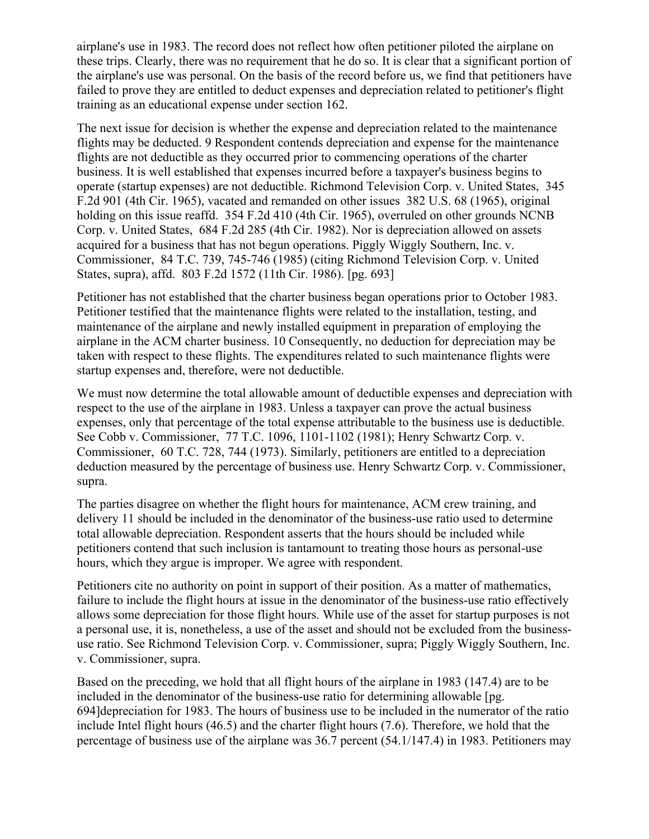airplane's use in 1983. The record does not reflect how often petitioner piloted the airplane on these trips. Clearly, there was no requirement that he do so. It is clear that a significant portion of the airplane's use was personal. On the basis of the record before us, we find that petitioners have failed to prove they are entitled to deduct expenses and depreciation related to petitioner's flight training as an educational expense under section 162.

The next issue for decision is whether the expense and depreciation related to the maintenance flights may be deducted. 9 Respondent contends depreciation and expense for the maintenance flights are not deductible as they occurred prior to commencing operations of the charter business. It is well established that expenses incurred before a taxpayer's business begins to operate (startup expenses) are not deductible. Richmond Television Corp. v. United States, 345 F.2d 901 (4th Cir. 1965), vacated and remanded on other issues 382 U.S. 68 (1965), original holding on this issue reaffd. 354 F.2d 410 (4th Cir. 1965), overruled on other grounds NCNB Corp. v. United States, 684 F.2d 285 (4th Cir. 1982). Nor is depreciation allowed on assets acquired for a business that has not begun operations. Piggly Wiggly Southern, Inc. v. Commissioner, 84 T.C. 739, 745-746 (1985) (citing Richmond Television Corp. v. United States, supra), affd. 803 F.2d 1572 (11th Cir. 1986). [pg. 693]

Petitioner has not established that the charter business began operations prior to October 1983. Petitioner testified that the maintenance flights were related to the installation, testing, and maintenance of the airplane and newly installed equipment in preparation of employing the airplane in the ACM charter business. 10 Consequently, no deduction for depreciation may be taken with respect to these flights. The expenditures related to such maintenance flights were startup expenses and, therefore, were not deductible.

We must now determine the total allowable amount of deductible expenses and depreciation with respect to the use of the airplane in 1983. Unless a taxpayer can prove the actual business expenses, only that percentage of the total expense attributable to the business use is deductible. See Cobb v. Commissioner, 77 T.C. 1096, 1101-1102 (1981); Henry Schwartz Corp. v. Commissioner, 60 T.C. 728, 744 (1973). Similarly, petitioners are entitled to a depreciation deduction measured by the percentage of business use. Henry Schwartz Corp. v. Commissioner, supra.

The parties disagree on whether the flight hours for maintenance, ACM crew training, and delivery 11 should be included in the denominator of the business-use ratio used to determine total allowable depreciation. Respondent asserts that the hours should be included while petitioners contend that such inclusion is tantamount to treating those hours as personal-use hours, which they argue is improper. We agree with respondent.

Petitioners cite no authority on point in support of their position. As a matter of mathematics, failure to include the flight hours at issue in the denominator of the business-use ratio effectively allows some depreciation for those flight hours. While use of the asset for startup purposes is not a personal use, it is, nonetheless, a use of the asset and should not be excluded from the businessuse ratio. See Richmond Television Corp. v. Commissioner, supra; Piggly Wiggly Southern, Inc. v. Commissioner, supra.

Based on the preceding, we hold that all flight hours of the airplane in 1983 (147.4) are to be included in the denominator of the business-use ratio for determining allowable [pg. 694]depreciation for 1983. The hours of business use to be included in the numerator of the ratio include Intel flight hours (46.5) and the charter flight hours (7.6). Therefore, we hold that the percentage of business use of the airplane was 36.7 percent (54.1/147.4) in 1983. Petitioners may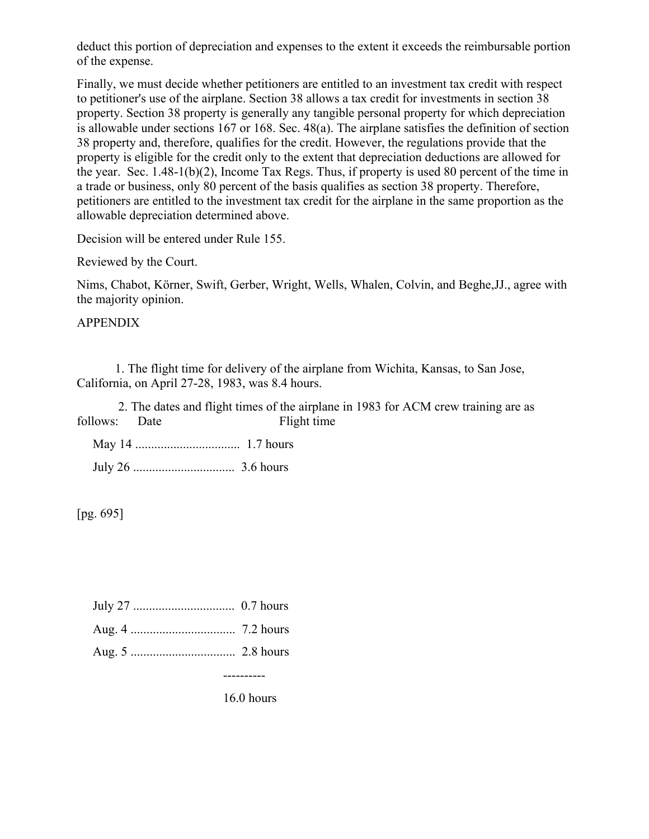deduct this portion of depreciation and expenses to the extent it exceeds the reimbursable portion of the expense.

Finally, we must decide whether petitioners are entitled to an investment tax credit with respect to petitioner's use of the airplane. Section 38 allows a tax credit for investments in section 38 property. Section 38 property is generally any tangible personal property for which depreciation is allowable under sections 167 or 168. Sec. 48(a). The airplane satisfies the definition of section 38 property and, therefore, qualifies for the credit. However, the regulations provide that the property is eligible for the credit only to the extent that depreciation deductions are allowed for the year. Sec. 1.48-1(b)(2), Income Tax Regs. Thus, if property is used 80 percent of the time in a trade or business, only 80 percent of the basis qualifies as section 38 property. Therefore, petitioners are entitled to the investment tax credit for the airplane in the same proportion as the allowable depreciation determined above.

Decision will be entered under Rule 155.

Reviewed by the Court.

Nims, Chabot, Körner, Swift, Gerber, Wright, Wells, Whalen, Colvin, and Beghe,JJ., agree with the majority opinion.

APPENDIX

1. The flight time for delivery of the airplane from Wichita, Kansas, to San Jose, California, on April 27-28, 1983, was 8.4 hours.

2. The dates and flight times of the airplane in 1983 for ACM crew training are as follows: Date Flight time

 May 14 ................................. 1.7 hours July 26 ................................ 3.6 hours

[pg. 695]

16.0 hours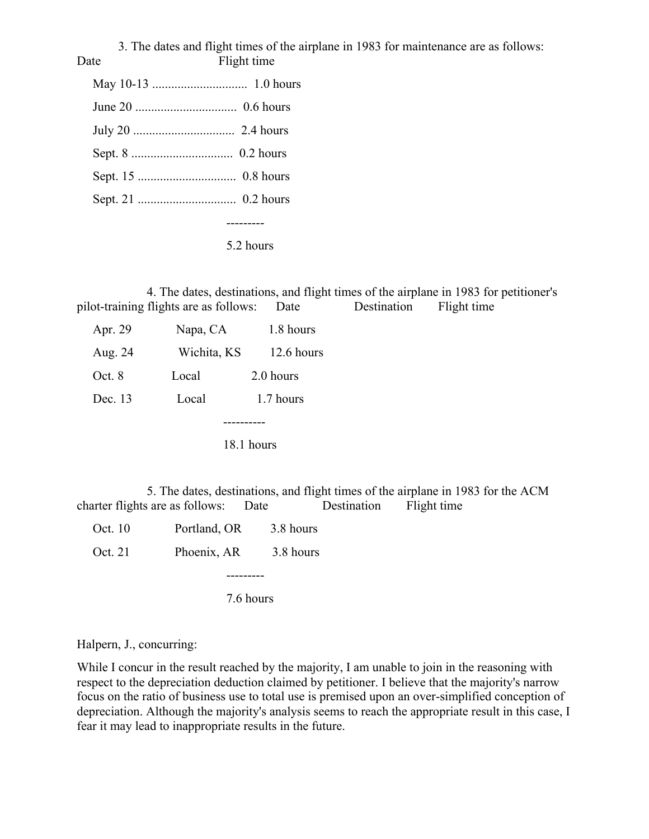3. The dates and flight times of the airplane in 1983 for maintenance are as follows: Date Flight time

5.2 hours

 4. The dates, destinations, and flight times of the airplane in 1983 for petitioner's pilot-training flights are as follows: Date Destination Flight time

| Apr. 29 | Napa, CA    | 1.8 hours  |
|---------|-------------|------------|
| Aug. 24 | Wichita, KS | 12.6 hours |
| Oct. 8  | Local       | 2.0 hours  |
| Dec. 13 | Local       | 1.7 hours  |
|         |             |            |

18.1 hours

 5. The dates, destinations, and flight times of the airplane in 1983 for the ACM charter flights are as follows: Date Destination Flight time  $\Omega$ <sup>t. 10</sup> Portland,  $\Omega$ <sup>9.8</sup> h

| <b>Oct.</b> 10 | Portland, OR | 3.8 hours |
|----------------|--------------|-----------|
| Oct. 21        | Phoenix, AR  | 3.8 hours |

7.6 hours

---------

Halpern, J., concurring:

While I concur in the result reached by the majority, I am unable to join in the reasoning with respect to the depreciation deduction claimed by petitioner. I believe that the majority's narrow focus on the ratio of business use to total use is premised upon an over-simplified conception of depreciation. Although the majority's analysis seems to reach the appropriate result in this case, I fear it may lead to inappropriate results in the future.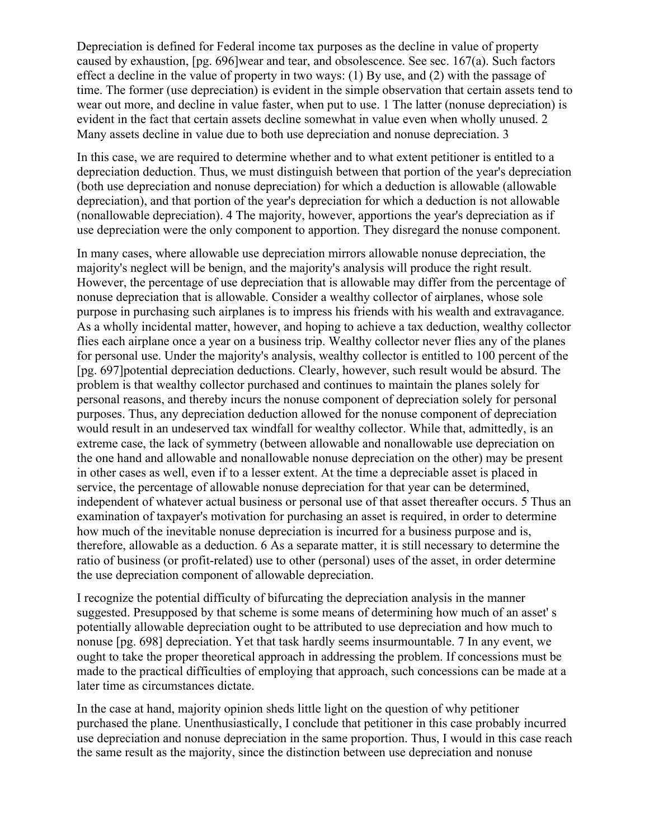Depreciation is defined for Federal income tax purposes as the decline in value of property caused by exhaustion, [pg. 696]wear and tear, and obsolescence. See sec. 167(a). Such factors effect a decline in the value of property in two ways: (1) By use, and (2) with the passage of time. The former (use depreciation) is evident in the simple observation that certain assets tend to wear out more, and decline in value faster, when put to use. 1 The latter (nonuse depreciation) is evident in the fact that certain assets decline somewhat in value even when wholly unused. 2 Many assets decline in value due to both use depreciation and nonuse depreciation. 3

In this case, we are required to determine whether and to what extent petitioner is entitled to a depreciation deduction. Thus, we must distinguish between that portion of the year's depreciation (both use depreciation and nonuse depreciation) for which a deduction is allowable (allowable depreciation), and that portion of the year's depreciation for which a deduction is not allowable (nonallowable depreciation). 4 The majority, however, apportions the year's depreciation as if use depreciation were the only component to apportion. They disregard the nonuse component.

In many cases, where allowable use depreciation mirrors allowable nonuse depreciation, the majority's neglect will be benign, and the majority's analysis will produce the right result. However, the percentage of use depreciation that is allowable may differ from the percentage of nonuse depreciation that is allowable. Consider a wealthy collector of airplanes, whose sole purpose in purchasing such airplanes is to impress his friends with his wealth and extravagance. As a wholly incidental matter, however, and hoping to achieve a tax deduction, wealthy collector flies each airplane once a year on a business trip. Wealthy collector never flies any of the planes for personal use. Under the majority's analysis, wealthy collector is entitled to 100 percent of the [pg. 697]potential depreciation deductions. Clearly, however, such result would be absurd. The problem is that wealthy collector purchased and continues to maintain the planes solely for personal reasons, and thereby incurs the nonuse component of depreciation solely for personal purposes. Thus, any depreciation deduction allowed for the nonuse component of depreciation would result in an undeserved tax windfall for wealthy collector. While that, admittedly, is an extreme case, the lack of symmetry (between allowable and nonallowable use depreciation on the one hand and allowable and nonallowable nonuse depreciation on the other) may be present in other cases as well, even if to a lesser extent. At the time a depreciable asset is placed in service, the percentage of allowable nonuse depreciation for that year can be determined, independent of whatever actual business or personal use of that asset thereafter occurs. 5 Thus an examination of taxpayer's motivation for purchasing an asset is required, in order to determine how much of the inevitable nonuse depreciation is incurred for a business purpose and is, therefore, allowable as a deduction. 6 As a separate matter, it is still necessary to determine the ratio of business (or profit-related) use to other (personal) uses of the asset, in order determine the use depreciation component of allowable depreciation.

I recognize the potential difficulty of bifurcating the depreciation analysis in the manner suggested. Presupposed by that scheme is some means of determining how much of an asset' s potentially allowable depreciation ought to be attributed to use depreciation and how much to nonuse [pg. 698] depreciation. Yet that task hardly seems insurmountable. 7 In any event, we ought to take the proper theoretical approach in addressing the problem. If concessions must be made to the practical difficulties of employing that approach, such concessions can be made at a later time as circumstances dictate.

In the case at hand, majority opinion sheds little light on the question of why petitioner purchased the plane. Unenthusiastically, I conclude that petitioner in this case probably incurred use depreciation and nonuse depreciation in the same proportion. Thus, I would in this case reach the same result as the majority, since the distinction between use depreciation and nonuse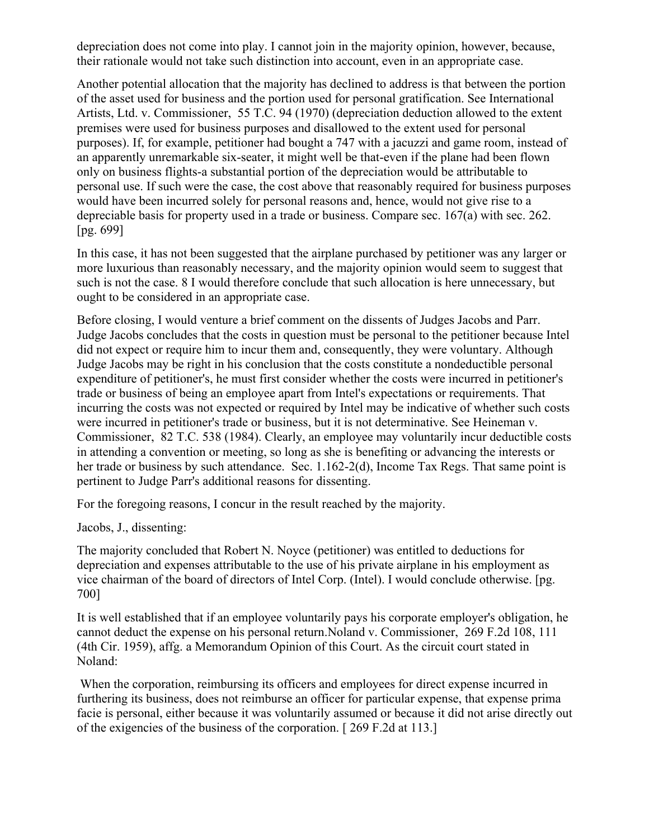depreciation does not come into play. I cannot join in the majority opinion, however, because, their rationale would not take such distinction into account, even in an appropriate case.

Another potential allocation that the majority has declined to address is that between the portion of the asset used for business and the portion used for personal gratification. See International Artists, Ltd. v. Commissioner, 55 T.C. 94 (1970) (depreciation deduction allowed to the extent premises were used for business purposes and disallowed to the extent used for personal purposes). If, for example, petitioner had bought a 747 with a jacuzzi and game room, instead of an apparently unremarkable six-seater, it might well be that-even if the plane had been flown only on business flights-a substantial portion of the depreciation would be attributable to personal use. If such were the case, the cost above that reasonably required for business purposes would have been incurred solely for personal reasons and, hence, would not give rise to a depreciable basis for property used in a trade or business. Compare sec. 167(a) with sec. 262. [pg. 699]

In this case, it has not been suggested that the airplane purchased by petitioner was any larger or more luxurious than reasonably necessary, and the majority opinion would seem to suggest that such is not the case. 8 I would therefore conclude that such allocation is here unnecessary, but ought to be considered in an appropriate case.

Before closing, I would venture a brief comment on the dissents of Judges Jacobs and Parr. Judge Jacobs concludes that the costs in question must be personal to the petitioner because Intel did not expect or require him to incur them and, consequently, they were voluntary. Although Judge Jacobs may be right in his conclusion that the costs constitute a nondeductible personal expenditure of petitioner's, he must first consider whether the costs were incurred in petitioner's trade or business of being an employee apart from Intel's expectations or requirements. That incurring the costs was not expected or required by Intel may be indicative of whether such costs were incurred in petitioner's trade or business, but it is not determinative. See Heineman v. Commissioner, 82 T.C. 538 (1984). Clearly, an employee may voluntarily incur deductible costs in attending a convention or meeting, so long as she is benefiting or advancing the interests or her trade or business by such attendance. Sec. 1.162-2(d), Income Tax Regs. That same point is pertinent to Judge Parr's additional reasons for dissenting.

For the foregoing reasons, I concur in the result reached by the majority.

Jacobs, J., dissenting:

The majority concluded that Robert N. Noyce (petitioner) was entitled to deductions for depreciation and expenses attributable to the use of his private airplane in his employment as vice chairman of the board of directors of Intel Corp. (Intel). I would conclude otherwise. [pg. 700]

It is well established that if an employee voluntarily pays his corporate employer's obligation, he cannot deduct the expense on his personal return.Noland v. Commissioner, 269 F.2d 108, 111 (4th Cir. 1959), affg. a Memorandum Opinion of this Court. As the circuit court stated in Noland:

When the corporation, reimbursing its officers and employees for direct expense incurred in furthering its business, does not reimburse an officer for particular expense, that expense prima facie is personal, either because it was voluntarily assumed or because it did not arise directly out of the exigencies of the business of the corporation. [ 269 F.2d at 113.]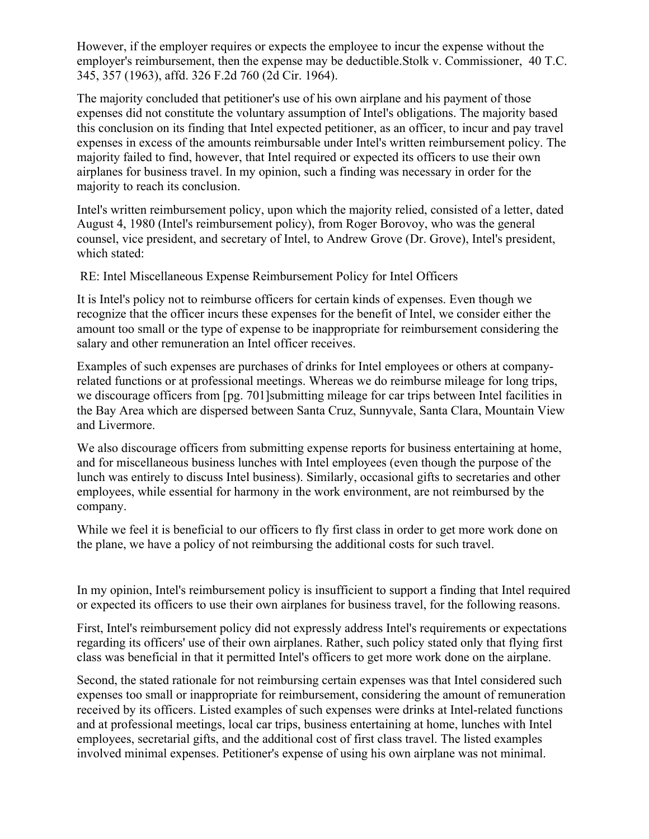However, if the employer requires or expects the employee to incur the expense without the employer's reimbursement, then the expense may be deductible.Stolk v. Commissioner, 40 T.C. 345, 357 (1963), affd. 326 F.2d 760 (2d Cir. 1964).

The majority concluded that petitioner's use of his own airplane and his payment of those expenses did not constitute the voluntary assumption of Intel's obligations. The majority based this conclusion on its finding that Intel expected petitioner, as an officer, to incur and pay travel expenses in excess of the amounts reimbursable under Intel's written reimbursement policy. The majority failed to find, however, that Intel required or expected its officers to use their own airplanes for business travel. In my opinion, such a finding was necessary in order for the majority to reach its conclusion.

Intel's written reimbursement policy, upon which the majority relied, consisted of a letter, dated August 4, 1980 (Intel's reimbursement policy), from Roger Borovoy, who was the general counsel, vice president, and secretary of Intel, to Andrew Grove (Dr. Grove), Intel's president, which stated:

RE: Intel Miscellaneous Expense Reimbursement Policy for Intel Officers

It is Intel's policy not to reimburse officers for certain kinds of expenses. Even though we recognize that the officer incurs these expenses for the benefit of Intel, we consider either the amount too small or the type of expense to be inappropriate for reimbursement considering the salary and other remuneration an Intel officer receives.

Examples of such expenses are purchases of drinks for Intel employees or others at companyrelated functions or at professional meetings. Whereas we do reimburse mileage for long trips, we discourage officers from [pg. 701] submitting mileage for car trips between Intel facilities in the Bay Area which are dispersed between Santa Cruz, Sunnyvale, Santa Clara, Mountain View and Livermore.

We also discourage officers from submitting expense reports for business entertaining at home, and for miscellaneous business lunches with Intel employees (even though the purpose of the lunch was entirely to discuss Intel business). Similarly, occasional gifts to secretaries and other employees, while essential for harmony in the work environment, are not reimbursed by the company.

While we feel it is beneficial to our officers to fly first class in order to get more work done on the plane, we have a policy of not reimbursing the additional costs for such travel.

In my opinion, Intel's reimbursement policy is insufficient to support a finding that Intel required or expected its officers to use their own airplanes for business travel, for the following reasons.

First, Intel's reimbursement policy did not expressly address Intel's requirements or expectations regarding its officers' use of their own airplanes. Rather, such policy stated only that flying first class was beneficial in that it permitted Intel's officers to get more work done on the airplane.

Second, the stated rationale for not reimbursing certain expenses was that Intel considered such expenses too small or inappropriate for reimbursement, considering the amount of remuneration received by its officers. Listed examples of such expenses were drinks at Intel-related functions and at professional meetings, local car trips, business entertaining at home, lunches with Intel employees, secretarial gifts, and the additional cost of first class travel. The listed examples involved minimal expenses. Petitioner's expense of using his own airplane was not minimal.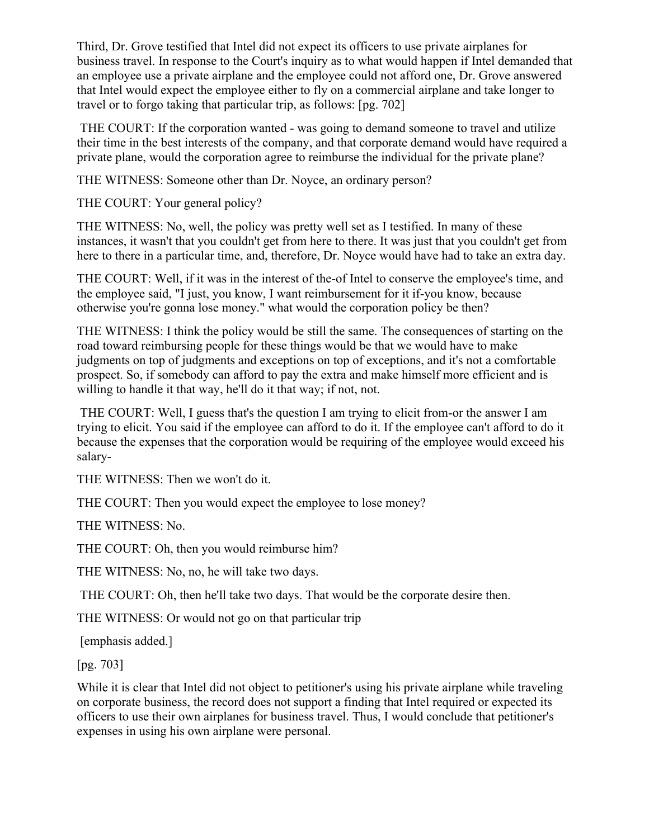Third, Dr. Grove testified that Intel did not expect its officers to use private airplanes for business travel. In response to the Court's inquiry as to what would happen if Intel demanded that an employee use a private airplane and the employee could not afford one, Dr. Grove answered that Intel would expect the employee either to fly on a commercial airplane and take longer to travel or to forgo taking that particular trip, as follows: [pg. 702]

THE COURT: If the corporation wanted - was going to demand someone to travel and utilize their time in the best interests of the company, and that corporate demand would have required a private plane, would the corporation agree to reimburse the individual for the private plane?

THE WITNESS: Someone other than Dr. Noyce, an ordinary person?

THE COURT: Your general policy?

THE WITNESS: No, well, the policy was pretty well set as I testified. In many of these instances, it wasn't that you couldn't get from here to there. It was just that you couldn't get from here to there in a particular time, and, therefore, Dr. Noyce would have had to take an extra day.

THE COURT: Well, if it was in the interest of the-of Intel to conserve the employee's time, and the employee said, "I just, you know, I want reimbursement for it if-you know, because otherwise you're gonna lose money." what would the corporation policy be then?

THE WITNESS: I think the policy would be still the same. The consequences of starting on the road toward reimbursing people for these things would be that we would have to make judgments on top of judgments and exceptions on top of exceptions, and it's not a comfortable prospect. So, if somebody can afford to pay the extra and make himself more efficient and is willing to handle it that way, he'll do it that way; if not, not.

THE COURT: Well, I guess that's the question I am trying to elicit from-or the answer I am trying to elicit. You said if the employee can afford to do it. If the employee can't afford to do it because the expenses that the corporation would be requiring of the employee would exceed his salary-

THE WITNESS: Then we won't do it.

THE COURT: Then you would expect the employee to lose money?

THE WITNESS: No.

THE COURT: Oh, then you would reimburse him?

THE WITNESS: No, no, he will take two days.

THE COURT: Oh, then he'll take two days. That would be the corporate desire then.

THE WITNESS: Or would not go on that particular trip

[emphasis added.]

[pg. 703]

While it is clear that Intel did not object to petitioner's using his private airplane while traveling on corporate business, the record does not support a finding that Intel required or expected its officers to use their own airplanes for business travel. Thus, I would conclude that petitioner's expenses in using his own airplane were personal.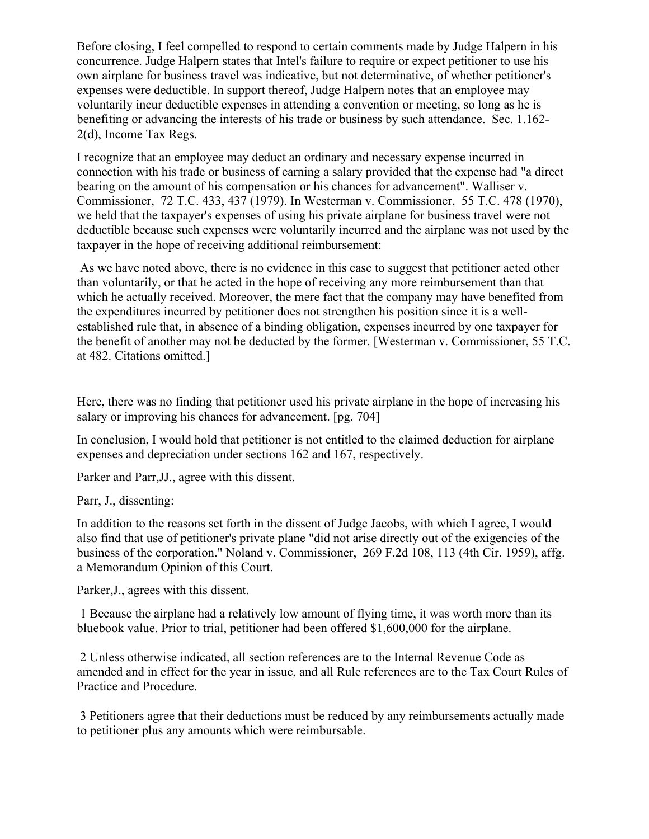Before closing, I feel compelled to respond to certain comments made by Judge Halpern in his concurrence. Judge Halpern states that Intel's failure to require or expect petitioner to use his own airplane for business travel was indicative, but not determinative, of whether petitioner's expenses were deductible. In support thereof, Judge Halpern notes that an employee may voluntarily incur deductible expenses in attending a convention or meeting, so long as he is benefiting or advancing the interests of his trade or business by such attendance. Sec. 1.162- 2(d), Income Tax Regs.

I recognize that an employee may deduct an ordinary and necessary expense incurred in connection with his trade or business of earning a salary provided that the expense had "a direct bearing on the amount of his compensation or his chances for advancement". Walliser v. Commissioner, 72 T.C. 433, 437 (1979). In Westerman v. Commissioner, 55 T.C. 478 (1970), we held that the taxpayer's expenses of using his private airplane for business travel were not deductible because such expenses were voluntarily incurred and the airplane was not used by the taxpayer in the hope of receiving additional reimbursement:

As we have noted above, there is no evidence in this case to suggest that petitioner acted other than voluntarily, or that he acted in the hope of receiving any more reimbursement than that which he actually received. Moreover, the mere fact that the company may have benefited from the expenditures incurred by petitioner does not strengthen his position since it is a wellestablished rule that, in absence of a binding obligation, expenses incurred by one taxpayer for the benefit of another may not be deducted by the former. [Westerman v. Commissioner, 55 T.C. at 482. Citations omitted.]

Here, there was no finding that petitioner used his private airplane in the hope of increasing his salary or improving his chances for advancement. [pg. 704]

In conclusion, I would hold that petitioner is not entitled to the claimed deduction for airplane expenses and depreciation under sections 162 and 167, respectively.

Parker and Parr,JJ., agree with this dissent.

Parr, J., dissenting:

In addition to the reasons set forth in the dissent of Judge Jacobs, with which I agree, I would also find that use of petitioner's private plane "did not arise directly out of the exigencies of the business of the corporation." Noland v. Commissioner, 269 F.2d 108, 113 (4th Cir. 1959), affg. a Memorandum Opinion of this Court.

Parker,J., agrees with this dissent.

1 Because the airplane had a relatively low amount of flying time, it was worth more than its bluebook value. Prior to trial, petitioner had been offered \$1,600,000 for the airplane.

2 Unless otherwise indicated, all section references are to the Internal Revenue Code as amended and in effect for the year in issue, and all Rule references are to the Tax Court Rules of Practice and Procedure.

3 Petitioners agree that their deductions must be reduced by any reimbursements actually made to petitioner plus any amounts which were reimbursable.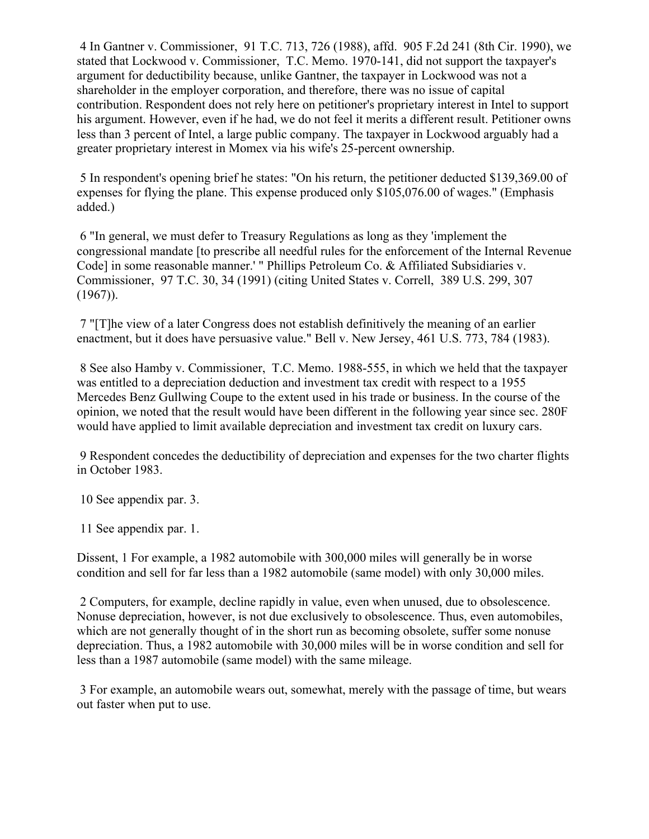4 In Gantner v. Commissioner, 91 T.C. 713, 726 (1988), affd. 905 F.2d 241 (8th Cir. 1990), we stated that Lockwood v. Commissioner, T.C. Memo. 1970-141, did not support the taxpayer's argument for deductibility because, unlike Gantner, the taxpayer in Lockwood was not a shareholder in the employer corporation, and therefore, there was no issue of capital contribution. Respondent does not rely here on petitioner's proprietary interest in Intel to support his argument. However, even if he had, we do not feel it merits a different result. Petitioner owns less than 3 percent of Intel, a large public company. The taxpayer in Lockwood arguably had a greater proprietary interest in Momex via his wife's 25-percent ownership.

5 In respondent's opening brief he states: "On his return, the petitioner deducted \$139,369.00 of expenses for flying the plane. This expense produced only \$105,076.00 of wages." (Emphasis added.)

6 "In general, we must defer to Treasury Regulations as long as they 'implement the congressional mandate [to prescribe all needful rules for the enforcement of the Internal Revenue Code] in some reasonable manner.' " Phillips Petroleum Co. & Affiliated Subsidiaries v. Commissioner, 97 T.C. 30, 34 (1991) (citing United States v. Correll, 389 U.S. 299, 307  $(1967)$ ).

7 "[T]he view of a later Congress does not establish definitively the meaning of an earlier enactment, but it does have persuasive value." Bell v. New Jersey, 461 U.S. 773, 784 (1983).

8 See also Hamby v. Commissioner, T.C. Memo. 1988-555, in which we held that the taxpayer was entitled to a depreciation deduction and investment tax credit with respect to a 1955 Mercedes Benz Gullwing Coupe to the extent used in his trade or business. In the course of the opinion, we noted that the result would have been different in the following year since sec. 280F would have applied to limit available depreciation and investment tax credit on luxury cars.

9 Respondent concedes the deductibility of depreciation and expenses for the two charter flights in October 1983.

10 See appendix par. 3.

11 See appendix par. 1.

Dissent, 1 For example, a 1982 automobile with 300,000 miles will generally be in worse condition and sell for far less than a 1982 automobile (same model) with only 30,000 miles.

2 Computers, for example, decline rapidly in value, even when unused, due to obsolescence. Nonuse depreciation, however, is not due exclusively to obsolescence. Thus, even automobiles, which are not generally thought of in the short run as becoming obsolete, suffer some nonuse depreciation. Thus, a 1982 automobile with 30,000 miles will be in worse condition and sell for less than a 1987 automobile (same model) with the same mileage.

3 For example, an automobile wears out, somewhat, merely with the passage of time, but wears out faster when put to use.